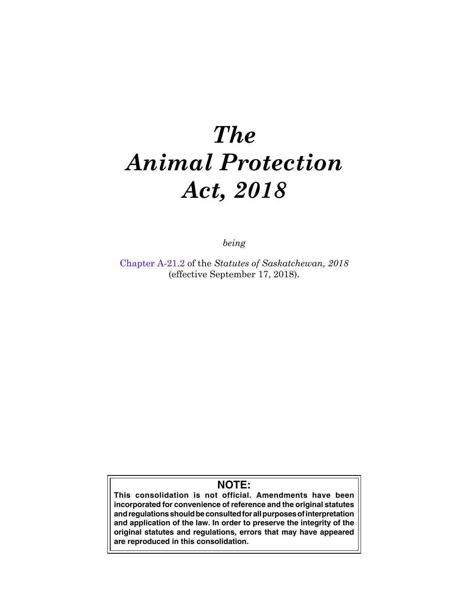# *The Animal Protection Act, 2018*

*being*

Chapter A-21.2 of the *Statutes of Saskatchewan, 2018* (effective September 17, 2018).

# **NOTE:**

**This consolidation is not official. Amendments have been incorporated for convenience of reference and the original statutes and regulations should be consulted for all purposes of interpretation and application of the law. In order to preserve the integrity of the original statutes and regulations, errors that may have appeared are reproduced in this consolidation.**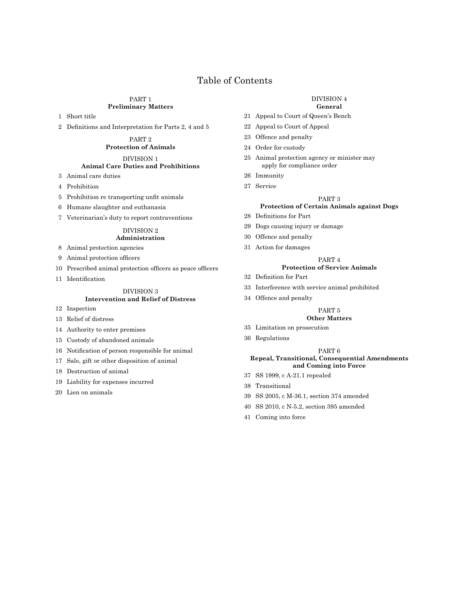# Table of Contents

#### PART 1 **Preliminary Matters**

Short title

Definitions and Interpretation for Parts 2, 4 and 5

PART 2 **Protection of Animals**

DIVISION 1

# **Animal Care Duties and Prohibitions**

- Animal care duties
- Prohibition
- Prohibition re transporting unfit animals
- Humane slaughter and euthanasia
- Veterinarian's duty to report contraventions

#### DIVISION 2 **Administration**

- Animal protection agencies
- Animal protection officers
- Prescribed animal protection officers as peace officers
- Identification

# DIVISION 3

# **Intervention and Relief of Distress**

- Inspection
- Relief of distress
- Authority to enter premises
- Custody of abandoned animals
- Notification of person responsible for animal
- Sale, gift or other disposition of animal
- Destruction of animal
- Liability for expenses incurred
- Lien on animals

#### DIVISION 4

#### **General**

- Appeal to Court of Queen's Bench
- Appeal to Court of Appeal
- Offence and penalty
- Order for custody
- Animal protection agency or minister may apply for compliance order
- Immunity
- Service

#### PART 3

#### **Protection of Certain Animals against Dogs**

- Definitions for Part
- Dogs causing injury or damage
- Offence and penalty
- Action for damages

#### PART 4

#### **Protection of Service Animals**

- Definition for Part
- Interference with service animal prohibited
- Offence and penalty

#### PART 5

#### **Other Matters**

- Limitation on prosecution
- Regulations

#### PART 6 **Repeal, Transitional, Consequential Amendments**

- **and Coming into Force**
- SS 1999, c A-21.1 repealed
- Transitional
- SS 2005, c M-36.1, section 374 amended
- SS 2010, c N-5.2, section 395 amended
- Coming into force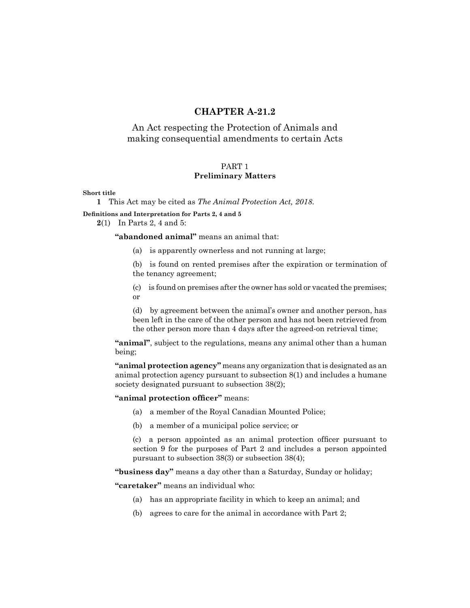# **[CHAPTER A-21.2](https://publications.saskatchewan.ca:443/api/v1/products/90573/formats/107489/download)**

# An Act respecting the Protection of Animals and making consequential amendments to certain Acts

# PART 1

# **Preliminary Matters**

#### **Short title**

**1** This Act may be cited as *The Animal Protection Act, 2018*.

**Definitions and Interpretation for Parts 2, 4 and 5**

**2**(1) In Parts 2, 4 and 5:

**"abandoned animal"** means an animal that:

(a) is apparently ownerless and not running at large;

(b) is found on rented premises after the expiration or termination of the tenancy agreement;

(c) is found on premises after the owner has sold or vacated the premises; or

(d) by agreement between the animal's owner and another person, has been left in the care of the other person and has not been retrieved from the other person more than 4 days after the agreed-on retrieval time;

**"animal"**, subject to the regulations, means any animal other than a human being;

"animal protection agency" means any organization that is designated as an animal protection agency pursuant to subsection 8(1) and includes a humane society designated pursuant to subsection 38(2);

#### **"animal protection officer"** means:

- (a) a member of the Royal Canadian Mounted Police;
- (b) a member of a municipal police service; or

(c) a person appointed as an animal protection officer pursuant to section 9 for the purposes of Part 2 and includes a person appointed pursuant to subsection 38(3) or subsection 38(4);

**"business day"** means a day other than a Saturday, Sunday or holiday;

**"caretaker"** means an individual who:

- (a) has an appropriate facility in which to keep an animal; and
- (b) agrees to care for the animal in accordance with Part 2;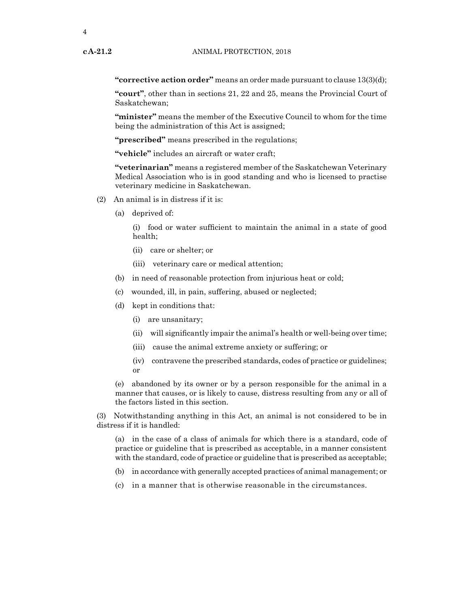**"corrective action order"** means an order made pursuant to clause 13(3)(d);

**"court"**, other than in sections 21, 22 and 25, means the Provincial Court of Saskatchewan;

**"minister"** means the member of the Executive Council to whom for the time being the administration of this Act is assigned;

**"prescribed"** means prescribed in the regulations;

**"vehicle"** includes an aircraft or water craft;

**"veterinarian"** means a registered member of the Saskatchewan Veterinary Medical Association who is in good standing and who is licensed to practise veterinary medicine in Saskatchewan.

- (2) An animal is in distress if it is:
	- (a) deprived of:

(i) food or water sufficient to maintain the animal in a state of good health;

- (ii) care or shelter; or
- (iii) veterinary care or medical attention;
- (b) in need of reasonable protection from injurious heat or cold;
- (c) wounded, ill, in pain, suffering, abused or neglected;
- (d) kept in conditions that:
	- (i) are unsanitary;
	- (ii) will significantly impair the animal's health or well-being over time;
	- (iii) cause the animal extreme anxiety or suffering; or
	- (iv) contravene the prescribed standards, codes of practice or guidelines; or

(e) abandoned by its owner or by a person responsible for the animal in a manner that causes, or is likely to cause, distress resulting from any or all of the factors listed in this section.

(3) Notwithstanding anything in this Act, an animal is not considered to be in distress if it is handled:

(a) in the case of a class of animals for which there is a standard, code of practice or guideline that is prescribed as acceptable, in a manner consistent with the standard, code of practice or guideline that is prescribed as acceptable;

- (b) in accordance with generally accepted practices of animal management; or
- (c) in a manner that is otherwise reasonable in the circumstances.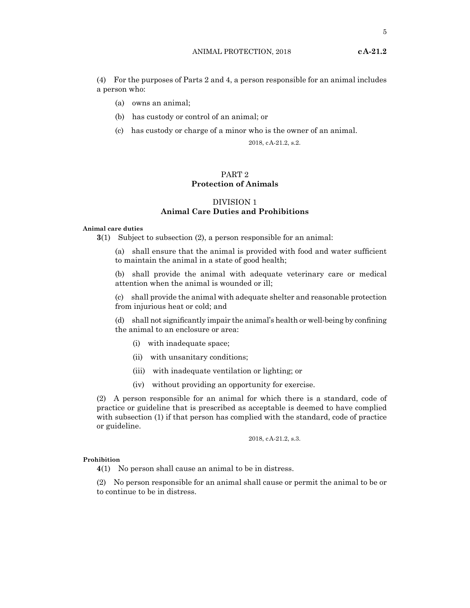(4) For the purposes of Parts 2 and 4, a person responsible for an animal includes a person who:

- (a) owns an animal;
- (b) has custody or control of an animal; or
- (c) has custody or charge of a minor who is the owner of an animal.

2018, cA-21.2, s.2.

# PART 2 **Protection of Animals**

# DIVISION 1 **Animal Care Duties and Prohibitions**

#### **Animal care duties**

**3**(1) Subject to subsection (2), a person responsible for an animal:

(a) shall ensure that the animal is provided with food and water sufficient to maintain the animal in a state of good health;

(b) shall provide the animal with adequate veterinary care or medical attention when the animal is wounded or ill;

(c) shall provide the animal with adequate shelter and reasonable protection from injurious heat or cold; and

(d) shall not significantly impair the animal's health or well-being by confining the animal to an enclosure or area:

- (i) with inadequate space;
- (ii) with unsanitary conditions;
- (iii) with inadequate ventilation or lighting; or
- (iv) without providing an opportunity for exercise.

(2) A person responsible for an animal for which there is a standard, code of practice or guideline that is prescribed as acceptable is deemed to have complied with subsection (1) if that person has complied with the standard, code of practice or guideline.

2018, cA-21.2, s.3.

## **Prohibition**

**4**(1) No person shall cause an animal to be in distress.

(2) No person responsible for an animal shall cause or permit the animal to be or to continue to be in distress.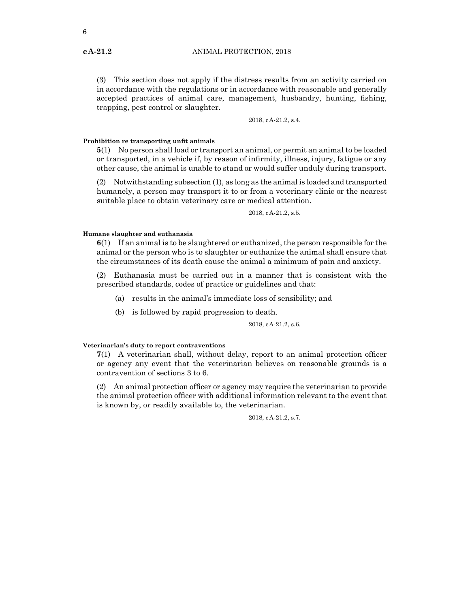(3) This section does not apply if the distress results from an activity carried on in accordance with the regulations or in accordance with reasonable and generally accepted practices of animal care, management, husbandry, hunting, fishing, trapping, pest control or slaughter.

2018, cA-21.2, s.4.

#### **Prohibition re transporting unfit animals**

**5**(1) No person shall load or transport an animal, or permit an animal to be loaded or transported, in a vehicle if, by reason of infirmity, illness, injury, fatigue or any other cause, the animal is unable to stand or would suffer unduly during transport.

(2) Notwithstanding subsection (1), as long as the animal is loaded and transported humanely, a person may transport it to or from a veterinary clinic or the nearest suitable place to obtain veterinary care or medical attention.

2018, cA-21.2, s.5.

#### **Humane slaughter and euthanasia**

**6**(1) If an animal is to be slaughtered or euthanized, the person responsible for the animal or the person who is to slaughter or euthanize the animal shall ensure that the circumstances of its death cause the animal a minimum of pain and anxiety.

(2) Euthanasia must be carried out in a manner that is consistent with the prescribed standards, codes of practice or guidelines and that:

- (a) results in the animal's immediate loss of sensibility; and
- (b) is followed by rapid progression to death.

2018, cA-21.2, s.6.

#### **Veterinarian's duty to report contraventions**

**7**(1) A veterinarian shall, without delay, report to an animal protection officer or agency any event that the veterinarian believes on reasonable grounds is a contravention of sections 3 to 6.

(2) An animal protection officer or agency may require the veterinarian to provide the animal protection officer with additional information relevant to the event that is known by, or readily available to, the veterinarian.

2018, cA-21.2, s.7.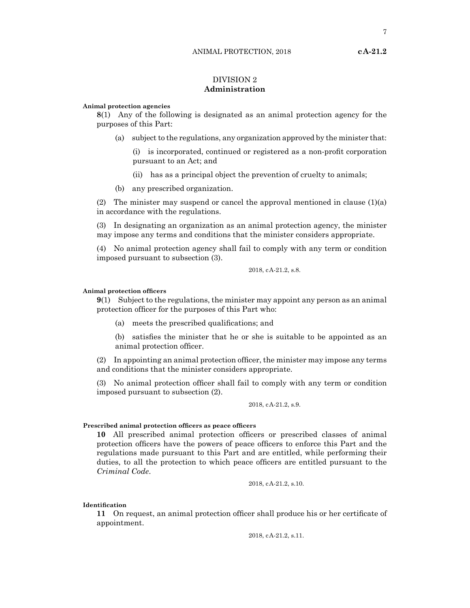# DIVISION 2 **Administration**

#### **Animal protection agencies**

**8**(1) Any of the following is designated as an animal protection agency for the purposes of this Part:

(a) subject to the regulations, any organization approved by the minister that:

(i) is incorporated, continued or registered as a non-profit corporation pursuant to an Act; and

(ii) has as a principal object the prevention of cruelty to animals;

(b) any prescribed organization.

(2) The minister may suspend or cancel the approval mentioned in clause  $(1)(a)$ in accordance with the regulations.

(3) In designating an organization as an animal protection agency, the minister may impose any terms and conditions that the minister considers appropriate.

(4) No animal protection agency shall fail to comply with any term or condition imposed pursuant to subsection (3).

#### 2018, cA-21.2, s.8.

#### **Animal protection officers**

**9**(1) Subject to the regulations, the minister may appoint any person as an animal protection officer for the purposes of this Part who:

(a) meets the prescribed qualifications; and

(b) satisfies the minister that he or she is suitable to be appointed as an animal protection officer.

(2) In appointing an animal protection officer, the minister may impose any terms and conditions that the minister considers appropriate.

(3) No animal protection officer shall fail to comply with any term or condition imposed pursuant to subsection (2).

#### 2018, cA-21.2, s.9.

#### **Prescribed animal protection officers as peace officers**

**10** All prescribed animal protection officers or prescribed classes of animal protection officers have the powers of peace officers to enforce this Part and the regulations made pursuant to this Part and are entitled, while performing their duties, to all the protection to which peace officers are entitled pursuant to the *Criminal Code*.

2018, cA-21.2, s.10.

#### **Identification**

**11** On request, an animal protection officer shall produce his or her certificate of appointment.

2018, cA-21.2, s.11.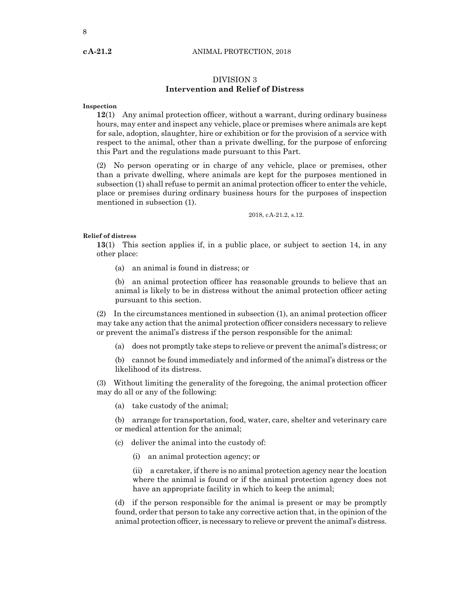## **cA-21.2** ANIMAL PROTECTION, 2018

# DIVISION 3 **Intervention and Relief of Distress**

#### **Inspection**

**12**(1) Any animal protection officer, without a warrant, during ordinary business hours, may enter and inspect any vehicle, place or premises where animals are kept for sale, adoption, slaughter, hire or exhibition or for the provision of a service with respect to the animal, other than a private dwelling, for the purpose of enforcing this Part and the regulations made pursuant to this Part.

(2) No person operating or in charge of any vehicle, place or premises, other than a private dwelling, where animals are kept for the purposes mentioned in subsection (1) shall refuse to permit an animal protection officer to enter the vehicle, place or premises during ordinary business hours for the purposes of inspection mentioned in subsection (1).

2018, cA-21.2, s.12.

#### **Relief of distress**

**13**(1) This section applies if, in a public place, or subject to section 14, in any other place:

(a) an animal is found in distress; or

(b) an animal protection officer has reasonable grounds to believe that an animal is likely to be in distress without the animal protection officer acting pursuant to this section.

(2) In the circumstances mentioned in subsection (1), an animal protection officer may take any action that the animal protection officer considers necessary to relieve or prevent the animal's distress if the person responsible for the animal:

(a) does not promptly take steps to relieve or prevent the animal's distress; or

(b) cannot be found immediately and informed of the animal's distress or the likelihood of its distress.

(3) Without limiting the generality of the foregoing, the animal protection officer may do all or any of the following:

(a) take custody of the animal;

(b) arrange for transportation, food, water, care, shelter and veterinary care or medical attention for the animal;

- (c) deliver the animal into the custody of:
	- (i) an animal protection agency; or

(ii) a caretaker, if there is no animal protection agency near the location where the animal is found or if the animal protection agency does not have an appropriate facility in which to keep the animal;

(d) if the person responsible for the animal is present or may be promptly found, order that person to take any corrective action that, in the opinion of the animal protection officer, is necessary to relieve or preventthe animal's distress.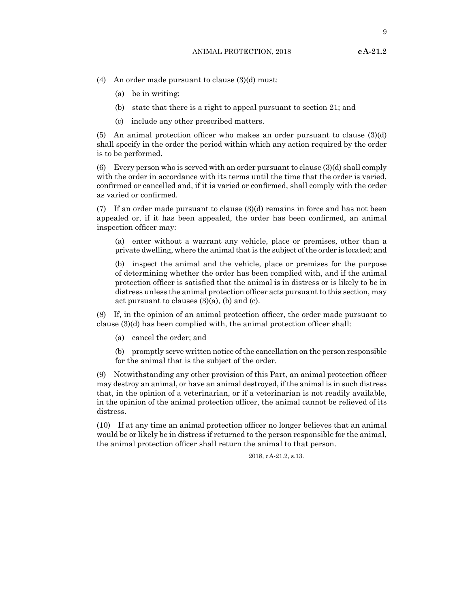(4) An order made pursuant to clause (3)(d) must:

- (a) be in writing;
- (b) state that there is a right to appeal pursuant to section 21; and
- (c) include any other prescribed matters.

(5) An animal protection officer who makes an order pursuant to clause (3)(d) shall specify in the order the period within which any action required by the order is to be performed.

(6) Every person who is served with an order pursuant to clause  $(3)(d)$  shall comply with the order in accordance with its terms until the time that the order is varied, confirmed or cancelled and, if it is varied or confirmed, shall comply with the order as varied or confirmed.

(7) If an order made pursuant to clause  $(3)(d)$  remains in force and has not been appealed or, if it has been appealed, the order has been confirmed, an animal inspection officer may:

(a) enter without a warrant any vehicle, place or premises, other than a private dwelling, where the animalthatis the subject ofthe order is located; and

(b) inspect the animal and the vehicle, place or premises for the purpose of determining whether the order has been complied with, and if the animal protection officer is satisfied that the animal is in distress or is likely to be in distress unless the animal protection officer acts pursuant to this section, may act pursuant to clauses (3)(a), (b) and (c).

(8) If, in the opinion of an animal protection officer, the order made pursuant to clause (3)(d) has been complied with, the animal protection officer shall:

(a) cancel the order; and

(b) promptly serve written notice ofthe cancellation on the person responsible for the animal that is the subject of the order.

(9) Notwithstanding any other provision of this Part, an animal protection officer may destroy an animal, or have an animal destroyed, if the animal is in such distress that, in the opinion of a veterinarian, or if a veterinarian is not readily available, in the opinion of the animal protection officer, the animal cannot be relieved of its distress.

(10) If at any time an animal protection officer no longer believes that an animal would be or likely be in distress if returned to the person responsible for the animal, the animal protection officer shall return the animal to that person.

2018, cA-21.2, s.13.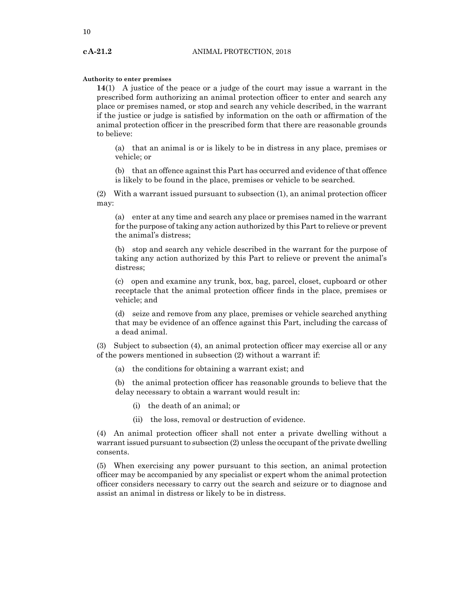#### **Authority to enter premises**

**14**(1) A justice of the peace or a judge of the court may issue a warrant in the prescribed form authorizing an animal protection officer to enter and search any place or premises named, or stop and search any vehicle described, in the warrant if the justice or judge is satisfied by information on the oath or affirmation of the animal protection officer in the prescribed form that there are reasonable grounds to believe:

(a) that an animal is or is likely to be in distress in any place, premises or vehicle; or

(b) that an offence against this Part has occurred and evidence of that offence is likely to be found in the place, premises or vehicle to be searched.

(2) With a warrant issued pursuant to subsection (1), an animal protection officer may:

(a) enter at any time and search any place or premises named in the warrant for the purpose of taking any action authorized by this Part to relieve or prevent the animal's distress;

(b) stop and search any vehicle described in the warrant for the purpose of taking any action authorized by this Part to relieve or prevent the animal's distress;

(c) open and examine any trunk, box, bag, parcel, closet, cupboard or other receptacle that the animal protection officer finds in the place, premises or vehicle; and

(d) seize and remove from any place, premises or vehicle searched anything that may be evidence of an offence against this Part, including the carcass of a dead animal.

(3) Subject to subsection (4), an animal protection officer may exercise all or any of the powers mentioned in subsection (2) without a warrant if:

(a) the conditions for obtaining a warrant exist; and

(b) the animal protection officer has reasonable grounds to believe that the delay necessary to obtain a warrant would result in:

- (i) the death of an animal; or
- (ii) the loss, removal or destruction of evidence.

(4) An animal protection officer shall not enter a private dwelling without a warrant issued pursuant to subsection (2) unless the occupant of the private dwelling consents.

(5) When exercising any power pursuant to this section, an animal protection officer may be accompanied by any specialist or expert whom the animal protection officer considers necessary to carry out the search and seizure or to diagnose and assist an animal in distress or likely to be in distress.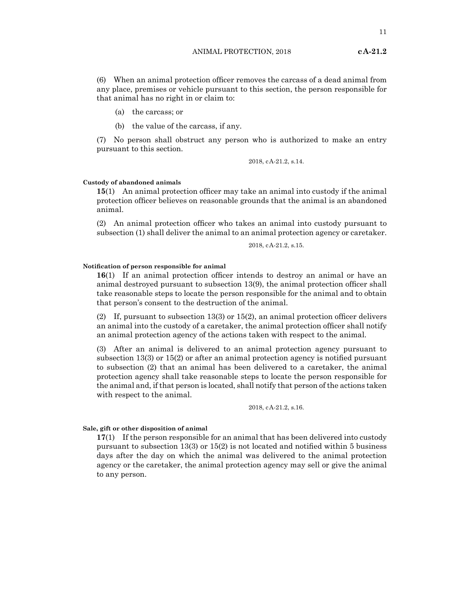(6) When an animal protection officer removes the carcass of a dead animal from any place, premises or vehicle pursuant to this section, the person responsible for that animal has no right in or claim to:

- (a) the carcass; or
- (b) the value of the carcass, if any.

(7) No person shall obstruct any person who is authorized to make an entry pursuant to this section.

2018, cA-21.2, s.14.

#### **Custody of abandoned animals**

**15**(1) An animal protection officer may take an animal into custody if the animal protection officer believes on reasonable grounds that the animal is an abandoned animal.

(2) An animal protection officer who takes an animal into custody pursuant to subsection (1) shall deliver the animal to an animal protection agency or caretaker.

2018, cA-21.2, s.15.

### **Notification of person responsible for animal**

**16**(1) If an animal protection officer intends to destroy an animal or have an animal destroyed pursuant to subsection 13(9), the animal protection officer shall take reasonable steps to locate the person responsible for the animal and to obtain that person's consent to the destruction of the animal.

(2) If, pursuant to subsection 13(3) or 15(2), an animal protection officer delivers an animal into the custody of a caretaker, the animal protection officer shall notify an animal protection agency of the actions taken with respect to the animal.

(3) After an animal is delivered to an animal protection agency pursuant to subsection 13(3) or 15(2) or after an animal protection agency is notified pursuant to subsection (2) that an animal has been delivered to a caretaker, the animal protection agency shall take reasonable steps to locate the person responsible for the animal and, if that person is located, shall notify that person of the actions taken with respect to the animal.

2018, cA-21.2, s.16.

#### **Sale, gift or other disposition of animal**

**17**(1) If the person responsible for an animal that has been delivered into custody pursuant to subsection 13(3) or 15(2) is not located and notified within 5 business days after the day on which the animal was delivered to the animal protection agency or the caretaker, the animal protection agency may sell or give the animal to any person.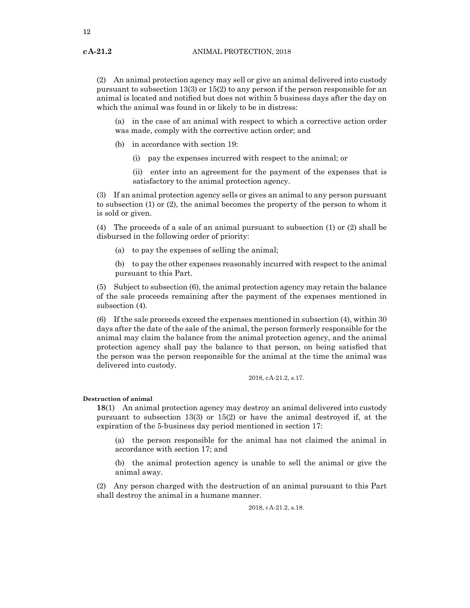(2) An animal protection agency may sell or give an animal delivered into custody pursuant to subsection  $13(3)$  or  $15(2)$  to any person if the person responsible for an animal is located and notified but does not within 5 business days after the day on which the animal was found in or likely to be in distress:

(a) in the case of an animal with respect to which a corrective action order was made, comply with the corrective action order; and

- (b) in accordance with section 19:
	- (i) pay the expenses incurred with respect to the animal; or

(ii) enter into an agreement for the payment of the expenses that is satisfactory to the animal protection agency.

(3) If an animal protection agency sells or gives an animal to any person pursuant to subsection (1) or (2), the animal becomes the property of the person to whom it is sold or given.

(4) The proceeds of a sale of an animal pursuant to subsection (1) or (2) shall be disbursed in the following order of priority:

(a) to pay the expenses of selling the animal;

(b) to pay the other expenses reasonably incurred with respect to the animal pursuant to this Part.

(5) Subject to subsection (6), the animal protection agency may retain the balance of the sale proceeds remaining after the payment of the expenses mentioned in subsection (4).

(6) If the sale proceeds exceed the expenses mentioned in subsection (4), within 30 days after the date of the sale of the animal, the person formerly responsible for the animal may claim the balance from the animal protection agency, and the animal protection agency shall pay the balance to that person, on being satisfied that the person was the person responsible for the animal at the time the animal was delivered into custody.

2018, cA-21.2, s.17.

#### **Destruction of animal**

**18**(1) An animal protection agency may destroy an animal delivered into custody pursuant to subsection 13(3) or 15(2) or have the animal destroyed if, at the expiration of the 5-business day period mentioned in section 17:

(a) the person responsible for the animal has not claimed the animal in accordance with section 17; and

(b) the animal protection agency is unable to sell the animal or give the animal away.

(2) Any person charged with the destruction of an animal pursuant to this Part shall destroy the animal in a humane manner.

2018, cA-21.2, s.18.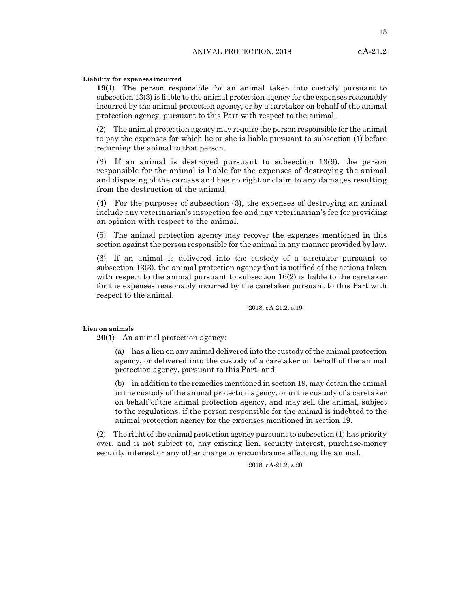13

#### **Liability for expenses incurred**

**19**(1) The person responsible for an animal taken into custody pursuant to subsection 13(3) is liable to the animal protection agency for the expenses reasonably incurred by the animal protection agency, or by a caretaker on behalf of the animal protection agency, pursuant to this Part with respect to the animal.

(2) The animal protection agency may require the person responsible for the animal to pay the expenses for which he or she is liable pursuant to subsection (1) before returning the animal to that person.

(3) If an animal is destroyed pursuant to subsection 13(9), the person responsible for the animal is liable for the expenses of destroying the animal and disposing of the carcass and has no right or claim to any damages resulting from the destruction of the animal.

(4) For the purposes of subsection (3), the expenses of destroying an animal include any veterinarian's inspection fee and any veterinarian's fee for providing an opinion with respect to the animal.

(5) The animal protection agency may recover the expenses mentioned in this section against the person responsible for the animal in any manner provided by law.

(6) If an animal is delivered into the custody of a caretaker pursuant to subsection 13(3), the animal protection agency that is notified of the actions taken with respect to the animal pursuant to subsection 16(2) is liable to the caretaker for the expenses reasonably incurred by the caretaker pursuant to this Part with respect to the animal.

2018, cA-21.2, s.19.

**Lien on animals**

**20**(1) An animal protection agency:

(a) has a lien on any animal delivered into the custody ofthe animal protection agency, or delivered into the custody of a caretaker on behalf of the animal protection agency, pursuant to this Part; and

(b) in addition to the remedies mentioned in section 19, may detain the animal in the custody of the animal protection agency, or in the custody of a caretaker on behalf of the animal protection agency, and may sell the animal, subject to the regulations, if the person responsible for the animal is indebted to the animal protection agency for the expenses mentioned in section 19.

(2) The right of the animal protection agency pursuant to subsection  $(1)$  has priority over, and is not subject to, any existing lien, security interest, purchase-money security interest or any other charge or encumbrance affecting the animal.

2018, cA-21.2, s.20.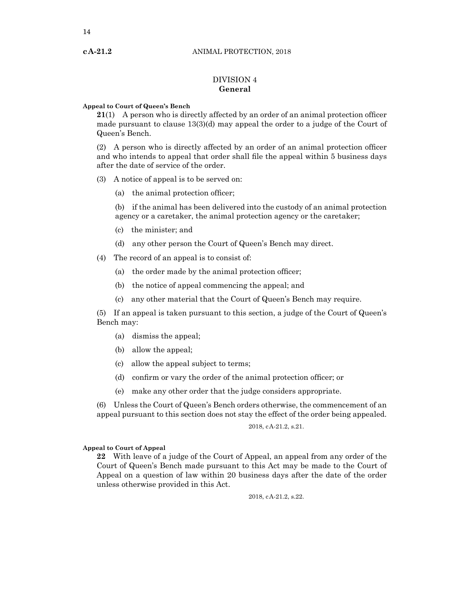# DIVISION 4 **General**

#### **Appeal to Court of Queen's Bench**

**21**(1) A person who is directly affected by an order of an animal protection officer made pursuant to clause 13(3)(d) may appeal the order to a judge of the Court of Queen's Bench.

(2) A person who is directly affected by an order of an animal protection officer and who intends to appeal that order shall file the appeal within 5 business days after the date of service of the order.

(3) A notice of appeal is to be served on:

(a) the animal protection officer;

(b) if the animal has been delivered into the custody of an animal protection agency or a caretaker, the animal protection agency or the caretaker;

- (c) the minister; and
- (d) any other person the Court of Queen's Bench may direct.
- (4) The record of an appeal is to consist of:
	- (a) the order made by the animal protection officer;
	- (b) the notice of appeal commencing the appeal; and
	- (c) any other material that the Court of Queen's Bench may require.

(5) If an appeal is taken pursuant to this section, a judge of the Court of Queen's Bench may:

- (a) dismiss the appeal;
- (b) allow the appeal;
- (c) allow the appeal subject to terms;
- (d) confirm or vary the order of the animal protection officer; or
- (e) make any other order that the judge considers appropriate.

(6) Unless the Court of Queen's Bench orders otherwise, the commencement of an appeal pursuant to this section does not stay the effect of the order being appealed.

2018, cA-21.2, s.21.

#### **Appeal to Court of Appeal**

**22** With leave of a judge of the Court of Appeal, an appeal from any order of the Court of Queen's Bench made pursuant to this Act may be made to the Court of Appeal on a question of law within 20 business days after the date of the order unless otherwise provided in this Act.

2018, cA-21.2, s.22.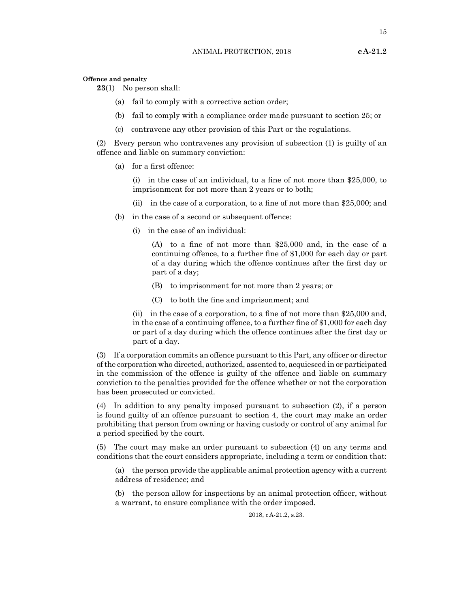15

#### **Offence and penalty**

**23**(1) No person shall:

- (a) fail to comply with a corrective action order;
- (b) fail to comply with a compliance order made pursuant to section 25; or
- (c) contravene any other provision of this Part or the regulations.

(2) Every person who contravenes any provision of subsection (1) is guilty of an offence and liable on summary conviction:

(a) for a first offence:

(i) in the case of an individual, to a fine of not more than \$25,000, to imprisonment for not more than 2 years or to both;

- (ii) in the case of a corporation, to a fine of not more than \$25,000; and
- (b) in the case of a second or subsequent offence:
	- (i) in the case of an individual:

(A) to a fine of not more than \$25,000 and, in the case of a continuing offence, to a further fine of \$1,000 for each day or part of a day during which the offence continues after the first day or part of a day;

- (B) to imprisonment for not more than 2 years; or
- (C) to both the fine and imprisonment; and

(ii) in the case of a corporation, to a fine of not more than \$25,000 and, in the case of a continuing offence, to a further fine of \$1,000 for each day or part of a day during which the offence continues after the first day or part of a day.

(3) If a corporation commits an offence pursuant to this Part, any officer or director ofthe corporation who directed, authorized, assented to, acquiesced in or participated in the commission of the offence is guilty of the offence and liable on summary conviction to the penalties provided for the offence whether or not the corporation has been prosecuted or convicted.

(4) In addition to any penalty imposed pursuant to subsection (2), if a person is found guilty of an offence pursuant to section 4, the court may make an order prohibiting that person from owning or having custody or control of any animal for a period specified by the court.

(5) The court may make an order pursuant to subsection (4) on any terms and conditions that the court considers appropriate, including a term or condition that:

(a) the person provide the applicable animal protection agency with a current address of residence; and

(b) the person allow for inspections by an animal protection officer, without a warrant, to ensure compliance with the order imposed.

2018, cA-21.2, s.23.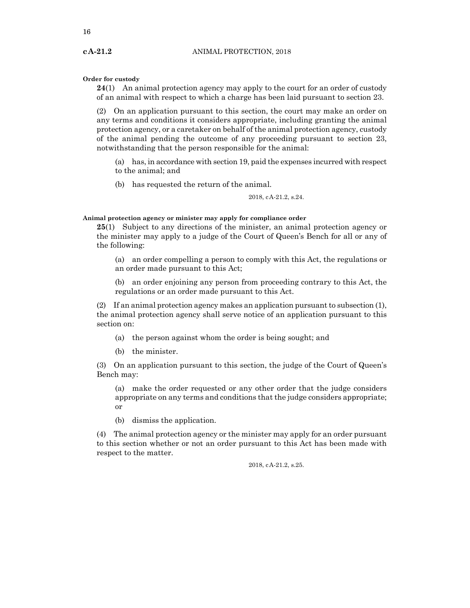**Order for custody**

**24**(1) An animal protection agency may apply to the court for an order of custody of an animal with respect to which a charge has been laid pursuant to section 23.

(2) On an application pursuant to this section, the court may make an order on any terms and conditions it considers appropriate, including granting the animal protection agency, or a caretaker on behalf of the animal protection agency, custody of the animal pending the outcome of any proceeding pursuant to section 23, notwithstanding that the person responsible for the animal:

(a) has, in accordance with section 19, paid the expenses incurred with respect to the animal; and

(b) has requested the return of the animal.

2018, cA-21.2, s.24.

**Animal protection agency or minister may apply for compliance order**

**25**(1) Subject to any directions of the minister, an animal protection agency or the minister may apply to a judge of the Court of Queen's Bench for all or any of the following:

(a) an order compelling a person to comply with this Act, the regulations or an order made pursuant to this Act;

(b) an order enjoining any person from proceeding contrary to this Act, the regulations or an order made pursuant to this Act.

(2) If an animal protection agency makes an application pursuant to subsection (1), the animal protection agency shall serve notice of an application pursuant to this section on:

(a) the person against whom the order is being sought; and

(b) the minister.

(3) On an application pursuant to this section, the judge of the Court of Queen's Bench may:

(a) make the order requested or any other order that the judge considers appropriate on any terms and conditions that the judge considers appropriate; or

(b) dismiss the application.

(4) The animal protection agency or the minister may apply for an order pursuant to this section whether or not an order pursuant to this Act has been made with respect to the matter.

2018, cA-21.2, s.25.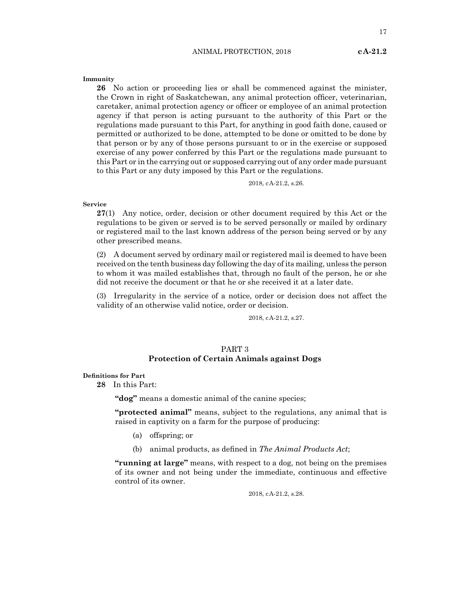#### ANIMAL PROTECTION, 2018 **cA-21.2**

**Immunity**

**26** No action or proceeding lies or shall be commenced against the minister, the Crown in right of Saskatchewan, any animal protection officer, veterinarian, caretaker, animal protection agency or officer or employee of an animal protection agency if that person is acting pursuant to the authority of this Part or the regulations made pursuant to this Part, for anything in good faith done, caused or permitted or authorized to be done, attempted to be done or omitted to be done by that person or by any of those persons pursuant to or in the exercise or supposed exercise of any power conferred by this Part or the regulations made pursuant to this Part or in the carrying out or supposed carrying out of any order made pursuant to this Part or any duty imposed by this Part or the regulations.

2018, cA-21.2, s.26.

#### **Service**

**27**(1) Any notice, order, decision or other document required by this Act or the regulations to be given or served is to be served personally or mailed by ordinary or registered mail to the last known address of the person being served or by any other prescribed means.

(2) A document served by ordinary mail or registered mail is deemed to have been received on the tenth business day following the day of its mailing, unless the person to whom it was mailed establishes that, through no fault of the person, he or she did not receive the document or that he or she received it at a later date.

(3) Irregularity in the service of a notice, order or decision does not affect the validity of an otherwise valid notice, order or decision.

2018, cA-21.2, s.27.

# PART 3 **Protection of Certain Animals against Dogs**

#### **Definitions for Part**

**28** In this Part:

**"dog"** means a domestic animal of the canine species;

**"protected animal"** means, subject to the regulations, any animal that is raised in captivity on a farm for the purpose of producing:

- (a) offspring; or
- (b) animal products, as defined in *The Animal Products Act*;

**"running at large"** means, with respect to a dog, not being on the premises of its owner and not being under the immediate, continuous and effective control of its owner.

2018, cA-21.2, s.28.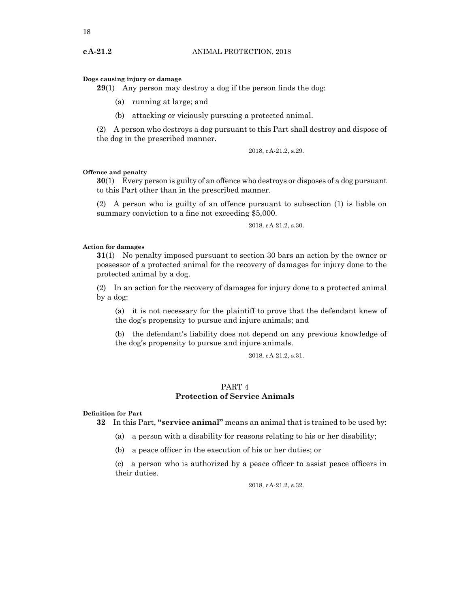#### **Dogs causing injury or damage**

**29**(1) Any person may destroy a dog if the person finds the dog:

- (a) running at large; and
- (b) attacking or viciously pursuing a protected animal.

(2) A person who destroys a dog pursuant to this Part shall destroy and dispose of the dog in the prescribed manner.

2018, cA-21.2, s.29.

#### **Offence and penalty**

**30**(1) Every person is guilty of an offence who destroys or disposes of a dog pursuant to this Part other than in the prescribed manner.

(2) A person who is guilty of an offence pursuant to subsection (1) is liable on summary conviction to a fine not exceeding \$5,000.

2018, cA-21.2, s.30.

#### **Action for damages**

**31**(1) No penalty imposed pursuant to section 30 bars an action by the owner or possessor of a protected animal for the recovery of damages for injury done to the protected animal by a dog.

(2) In an action for the recovery of damages for injury done to a protected animal by a dog:

(a) it is not necessary for the plaintiff to prove that the defendant knew of the dog's propensity to pursue and injure animals; and

(b) the defendant's liability does not depend on any previous knowledge of the dog's propensity to pursue and injure animals.

2018, cA-21.2, s.31.

# PART 4 **Protection of Service Animals**

#### **Definition for Part**

**32** In this Part, **"service animal"** means an animal that is trained to be used by:

(a) a person with a disability for reasons relating to his or her disability;

(b) a peace officer in the execution of his or her duties; or

(c) a person who is authorized by a peace officer to assist peace officers in their duties.

2018, cA-21.2, s.32.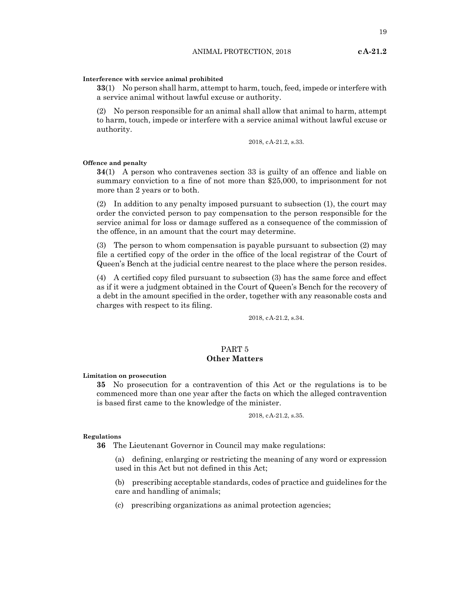#### **Interference with service animal prohibited**

**33**(1) No person shall harm, attempt to harm, touch, feed, impede or interfere with a service animal without lawful excuse or authority.

(2) No person responsible for an animal shall allow that animal to harm, attempt to harm, touch, impede or interfere with a service animal without lawful excuse or authority.

2018, cA-21.2, s.33.

#### **Offence and penalty**

**34**(1) A person who contravenes section 33 is guilty of an offence and liable on summary conviction to a fine of not more than \$25,000, to imprisonment for not more than 2 years or to both.

(2) In addition to any penalty imposed pursuant to subsection (1), the court may order the convicted person to pay compensation to the person responsible for the service animal for loss or damage suffered as a consequence of the commission of the offence, in an amount that the court may determine.

(3) The person to whom compensation is payable pursuant to subsection (2) may file a certified copy of the order in the office of the local registrar of the Court of Queen's Bench at the judicial centre nearest to the place where the person resides.

(4) A certified copy filed pursuant to subsection (3) has the same force and effect as if it were a judgment obtained in the Court of Queen's Bench for the recovery of a debt in the amount specified in the order, together with any reasonable costs and charges with respect to its filing.

2018, cA-21.2, s.34.

# PART 5 **Other Matters**

**Limitation on prosecution**

**35** No prosecution for a contravention of this Act or the regulations is to be commenced more than one year after the facts on which the alleged contravention is based first came to the knowledge of the minister.

2018, cA-21.2, s.35.

#### **Regulations**

**36** The Lieutenant Governor in Council may make regulations:

(a) defining, enlarging or restricting the meaning of any word or expression used in this Act but not defined in this Act;

(b) prescribing acceptable standards, codes of practice and guidelines for the care and handling of animals;

(c) prescribing organizations as animal protection agencies;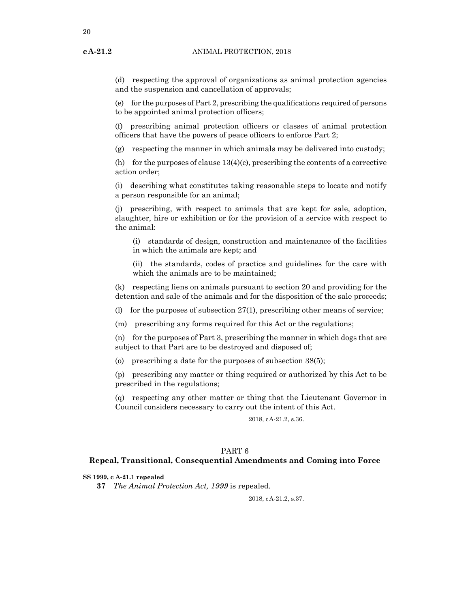20

(d) respecting the approval of organizations as animal protection agencies and the suspension and cancellation of approvals;

(e) for the purposes of Part 2, prescribing the qualifications required of persons to be appointed animal protection officers;

(f) prescribing animal protection officers or classes of animal protection officers that have the powers of peace officers to enforce Part 2;

 $(g)$  respecting the manner in which animals may be delivered into custody;

(h) for the purposes of clause  $13(4)(c)$ , prescribing the contents of a corrective action order;

(i) describing what constitutes taking reasonable steps to locate and notify a person responsible for an animal;

(j) prescribing, with respect to animals that are kept for sale, adoption, slaughter, hire or exhibition or for the provision of a service with respect to the animal:

(i) standards of design, construction and maintenance of the facilities in which the animals are kept; and

(ii) the standards, codes of practice and guidelines for the care with which the animals are to be maintained;

(k) respecting liens on animals pursuant to section 20 and providing for the detention and sale of the animals and for the disposition of the sale proceeds;

(l) for the purposes of subsection 27(1), prescribing other means of service;

(m) prescribing any forms required for this Act or the regulations;

(n) for the purposes of Part 3, prescribing the manner in which dogs that are subject to that Part are to be destroyed and disposed of;

(o) prescribing a date for the purposes of subsection 38(5);

(p) prescribing any matter or thing required or authorized by this Act to be prescribed in the regulations;

(q) respecting any other matter or thing that the Lieutenant Governor in Council considers necessary to carry out the intent of this Act.

2018, cA-21.2, s.36.

## PART 6

#### **Repeal, Transitional, Consequential Amendments and Coming into Force**

**SS 1999, c A-21.1 repealed**

**37** *The Animal Protection Act, 1999* is repealed.

2018, cA-21.2, s.37.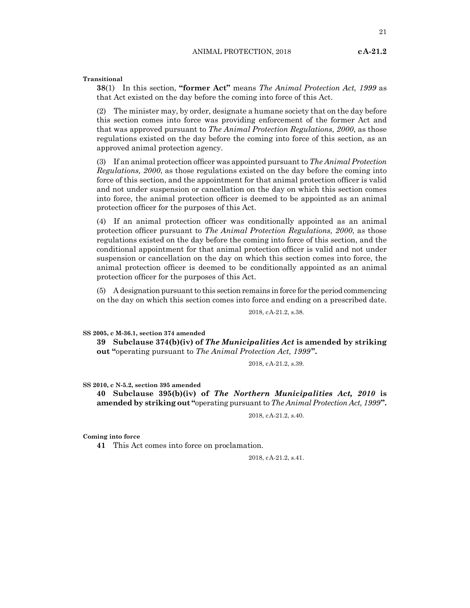**Transitional**

**38**(1) In this section, **"former Act"** means *The Animal Protection Act, 1999* as that Act existed on the day before the coming into force of this Act.

(2) The minister may, by order, designate a humane society that on the day before this section comes into force was providing enforcement of the former Act and that was approved pursuant to *The Animal Protection Regulations, 2000*, as those regulations existed on the day before the coming into force of this section, as an approved animal protection agency.

(3) If an animal protection officer was appointed pursuantto *The Animal Protection Regulations, 2000*, as those regulations existed on the day before the coming into force of this section, and the appointment for that animal protection officer is valid and not under suspension or cancellation on the day on which this section comes into force, the animal protection officer is deemed to be appointed as an animal protection officer for the purposes of this Act.

(4) If an animal protection officer was conditionally appointed as an animal protection officer pursuant to *The Animal Protection Regulations, 2000*, as those regulations existed on the day before the coming into force of this section, and the conditional appointment for that animal protection officer is valid and not under suspension or cancellation on the day on which this section comes into force, the animal protection officer is deemed to be conditionally appointed as an animal protection officer for the purposes of this Act.

(5) A designation pursuantto this section remains in force for the period commencing on the day on which this section comes into force and ending on a prescribed date.

2018, cA-21.2, s.38.

**SS 2005, c M-36.1, section 374 amended**

**39 Subclause 374(b)(iv) of** *The Municipalities Act* **is amended by striking out "**operating pursuant to *The Animal Protection Act, 1999***".**

2018, cA-21.2, s.39.

**SS 2010, c N-5.2, section 395 amended**

**40 Subclause 395(b)(iv) of** *The Northern Municipalities Act, 2010* **is amended by striking out "**operating pursuantto *The Animal Protection Act, 1999***".**

2018, cA-21.2, s.40.

**Coming into force**

**41** This Act comes into force on proclamation.

2018, cA-21.2, s.41.